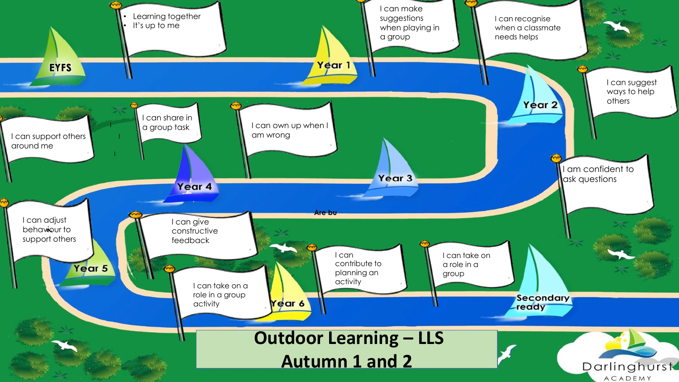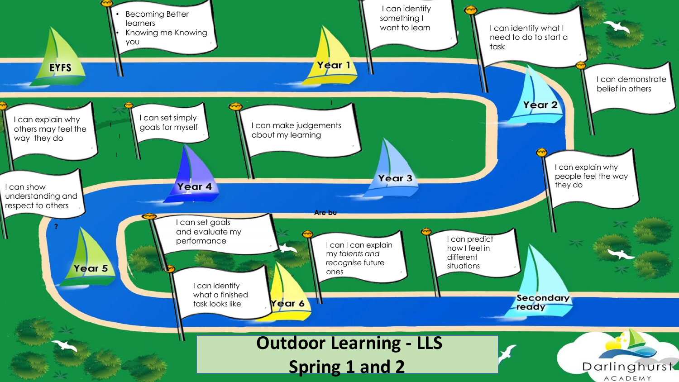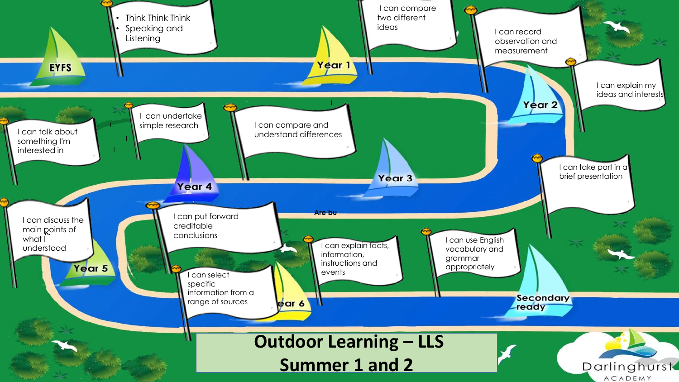